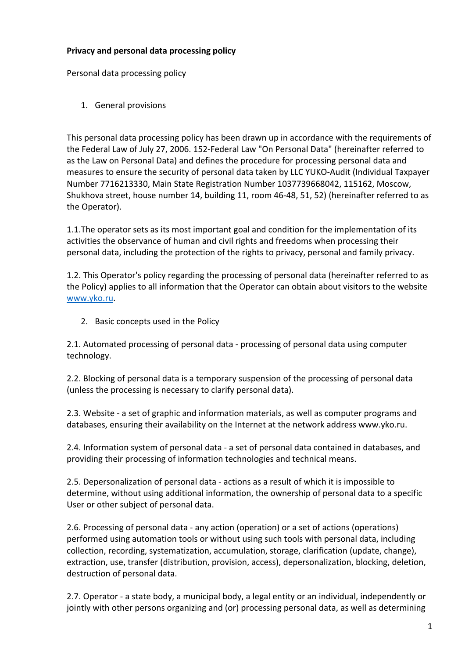## **Privacy and personal data processing policy**

Personal data processing policy

1. General provisions

This personal data processing policy has been drawn up in accordance with the requirements of the Federal Law of July 27, 2006. 152-Federal Law "On Personal Data" (hereinafter referred to as the Law on Personal Data) and defines the procedure for processing personal data and measures to ensure the security of personal data taken by LLC YUKO-Audit (Individual Taxpayer Number 7716213330, Main State Registration Number 1037739668042, 115162, Moscow, Shukhova street, house number 14, building 11, room 46-48, 51, 52) (hereinafter referred to as the Operator).

1.1.The operator sets as its most important goal and condition for the implementation of its activities the observance of human and civil rights and freedoms when processing their personal data, including the protection of the rights to privacy, personal and family privacy.

1.2. This Operator's policy regarding the processing of personal data (hereinafter referred to as the Policy) applies to all information that the Operator can obtain about visitors to the website www.yko.ru.

2. Basic concepts used in the Policy

2.1. Automated processing of personal data - processing of personal data using computer technology.

2.2. Blocking of personal data is a temporary suspension of the processing of personal data (unless the processing is necessary to clarify personal data).

2.3. Website - a set of graphic and information materials, as well as computer programs and databases, ensuring their availability on the Internet at the network address www.yko.ru.

2.4. Information system of personal data - a set of personal data contained in databases, and providing their processing of information technologies and technical means.

2.5. Depersonalization of personal data - actions as a result of which it is impossible to determine, without using additional information, the ownership of personal data to a specific User or other subject of personal data.

2.6. Processing of personal data - any action (operation) or a set of actions (operations) performed using automation tools or without using such tools with personal data, including collection, recording, systematization, accumulation, storage, clarification (update, change), extraction, use, transfer (distribution, provision, access), depersonalization, blocking, deletion, destruction of personal data.

2.7. Operator - a state body, a municipal body, a legal entity or an individual, independently or jointly with other persons organizing and (or) processing personal data, as well as determining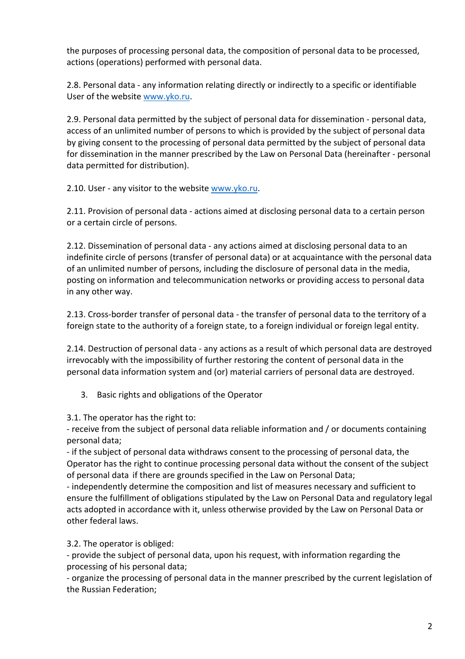the purposes of processing personal data, the composition of personal data to be processed, actions (operations) performed with personal data.

2.8. Personal data - any information relating directly or indirectly to a specific or identifiable User of the website www.yko.ru.

2.9. Personal data permitted by the subject of personal data for dissemination - personal data, access of an unlimited number of persons to which is provided by the subject of personal data by giving consent to the processing of personal data permitted by the subject of personal data for dissemination in the manner prescribed by the Law on Personal Data (hereinafter - personal data permitted for distribution).

2.10. User - any visitor to the website www.yko.ru.

2.11. Provision of personal data - actions aimed at disclosing personal data to a certain person or a certain circle of persons.

2.12. Dissemination of personal data - any actions aimed at disclosing personal data to an indefinite circle of persons (transfer of personal data) or at acquaintance with the personal data of an unlimited number of persons, including the disclosure of personal data in the media, posting on information and telecommunication networks or providing access to personal data in any other way.

2.13. Cross-border transfer of personal data - the transfer of personal data to the territory of a foreign state to the authority of a foreign state, to a foreign individual or foreign legal entity.

2.14. Destruction of personal data - any actions as a result of which personal data are destroyed irrevocably with the impossibility of further restoring the content of personal data in the personal data information system and (or) material carriers of personal data are destroyed.

3. Basic rights and obligations of the Operator

3.1. The operator has the right to:

- receive from the subject of personal data reliable information and / or documents containing personal data;

- if the subject of personal data withdraws consent to the processing of personal data, the Operator has the right to continue processing personal data without the consent of the subject of personal data if there are grounds specified in the Law on Personal Data;

- independently determine the composition and list of measures necessary and sufficient to ensure the fulfillment of obligations stipulated by the Law on Personal Data and regulatory legal acts adopted in accordance with it, unless otherwise provided by the Law on Personal Data or other federal laws.

3.2. The operator is obliged:

- provide the subject of personal data, upon his request, with information regarding the processing of his personal data;

- organize the processing of personal data in the manner prescribed by the current legislation of the Russian Federation;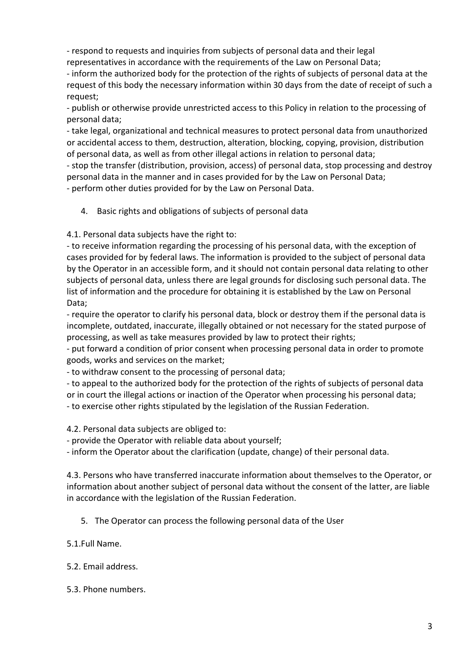- respond to requests and inquiries from subjects of personal data and their legal representatives in accordance with the requirements of the Law on Personal Data;

- inform the authorized body for the protection of the rights of subjects of personal data at the request of this body the necessary information within 30 days from the date of receipt of such a request;

- publish or otherwise provide unrestricted access to this Policy in relation to the processing of personal data;

- take legal, organizational and technical measures to protect personal data from unauthorized or accidental access to them, destruction, alteration, blocking, copying, provision, distribution of personal data, as well as from other illegal actions in relation to personal data;

- stop the transfer (distribution, provision, access) of personal data, stop processing and destroy personal data in the manner and in cases provided for by the Law on Personal Data; - perform other duties provided for by the Law on Personal Data.

4. Basic rights and obligations of subjects of personal data

4.1. Personal data subjects have the right to:

- to receive information regarding the processing of his personal data, with the exception of cases provided for by federal laws. The information is provided to the subject of personal data by the Operator in an accessible form, and it should not contain personal data relating to other subjects of personal data, unless there are legal grounds for disclosing such personal data. The list of information and the procedure for obtaining it is established by the Law on Personal Data;

- require the operator to clarify his personal data, block or destroy them if the personal data is incomplete, outdated, inaccurate, illegally obtained or not necessary for the stated purpose of processing, as well as take measures provided by law to protect their rights;

- put forward a condition of prior consent when processing personal data in order to promote goods, works and services on the market;

- to withdraw consent to the processing of personal data;

- to appeal to the authorized body for the protection of the rights of subjects of personal data or in court the illegal actions or inaction of the Operator when processing his personal data; - to exercise other rights stipulated by the legislation of the Russian Federation.

4.2. Personal data subjects are obliged to:

- provide the Operator with reliable data about yourself;

- inform the Operator about the clarification (update, change) of their personal data.

4.3. Persons who have transferred inaccurate information about themselves to the Operator, or information about another subject of personal data without the consent of the latter, are liable in accordance with the legislation of the Russian Federation.

- 5. The Operator can process the following personal data of the User
- 5.1.Full Name.
- 5.2. Email address.
- 5.3. Phone numbers.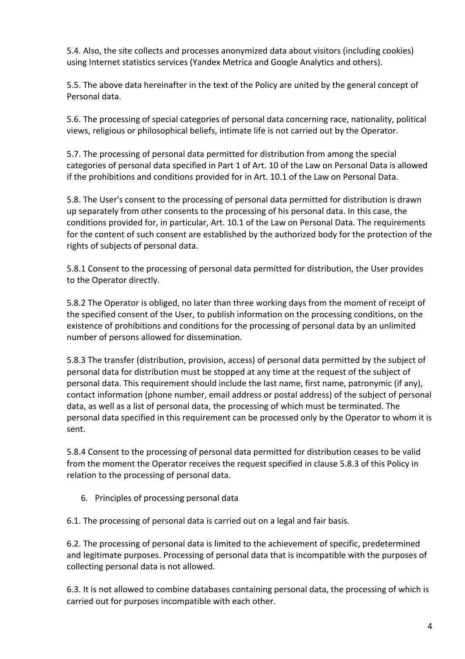5.4. Also, the site collects and processes anonymized data about visitors (including cookies) using Internet statistics services (Yandex Metrica and Google Analytics and others).

5.5. The above data hereinafter in the text of the Policy are united by the general concept of Personal data.

5.6. The processing of special categories of personal data concerning race, nationality, political views, religious or philosophical beliefs, intimate life is not carried out by the Operator.

5.7. The processing of personal data permitted for distribution from among the special categories of personal data specified in Part 1 of Art. 10 of the Law on Personal Data is allowed if the prohibitions and conditions provided for in Art. 10.1 of the Law on Personal Data.

5.8. The User's consent to the processing of personal data permitted for distribution is drawn up separately from other consents to the processing of his personal data. In this case, the conditions provided for, in particular, Art. 10.1 of the Law on Personal Data. The requirements for the content of such consent are established by the authorized body for the protection of the rights of subjects of personal data.

5.8.1 Consent to the processing of personal data permitted for distribution, the User provides to the Operator directly.

5.8.2 The Operator is obliged, no later than three working days from the moment of receipt of the specified consent of the User, to publish information on the processing conditions, on the existence of prohibitions and conditions for the processing of personal data by an unlimited number of persons allowed for dissemination.

5.8.3 The transfer (distribution, provision, access) of personal data permitted by the subject of personal data for distribution must be stopped at any time at the request of the subject of personal data. This requirement should include the last name, first name, patronymic (if any), contact information (phone number, email address or postal address) of the subject of personal data, as well as a list of personal data, the processing of which must be terminated. The personal data specified in this requirement can be processed only by the Operator to whom it is sent.

5.8.4 Consent to the processing of personal data permitted for distribution ceases to be valid from the moment the Operator receives the request specified in clause 5.8.3 of this Policy in relation to the processing of personal data.

6. Principles of processing personal data

6.1. The processing of personal data is carried out on a legal and fair basis.

6.2. The processing of personal data is limited to the achievement of specific, predetermined and legitimate purposes. Processing of personal data that is incompatible with the purposes of collecting personal data is not allowed.

6.3. It is not allowed to combine databases containing personal data, the processing of which is carried out for purposes incompatible with each other.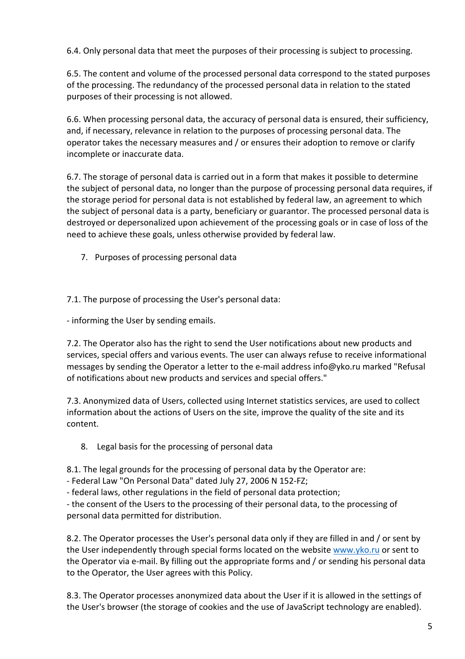6.4. Only personal data that meet the purposes of their processing is subject to processing.

6.5. The content and volume of the processed personal data correspond to the stated purposes of the processing. The redundancy of the processed personal data in relation to the stated purposes of their processing is not allowed.

6.6. When processing personal data, the accuracy of personal data is ensured, their sufficiency, and, if necessary, relevance in relation to the purposes of processing personal data. The operator takes the necessary measures and / or ensures their adoption to remove or clarify incomplete or inaccurate data.

6.7. The storage of personal data is carried out in a form that makes it possible to determine the subject of personal data, no longer than the purpose of processing personal data requires, if the storage period for personal data is not established by federal law, an agreement to which the subject of personal data is a party, beneficiary or guarantor. The processed personal data is destroyed or depersonalized upon achievement of the processing goals or in case of loss of the need to achieve these goals, unless otherwise provided by federal law.

7. Purposes of processing personal data

7.1. The purpose of processing the User's personal data:

- informing the User by sending emails.

7.2. The Operator also has the right to send the User notifications about new products and services, special offers and various events. The user can always refuse to receive informational messages by sending the Operator a letter to the e-mail address info@yko.ru marked "Refusal of notifications about new products and services and special offers."

7.3. Anonymized data of Users, collected using Internet statistics services, are used to collect information about the actions of Users on the site, improve the quality of the site and its content.

8. Legal basis for the processing of personal data

8.1. The legal grounds for the processing of personal data by the Operator are:

- Federal Law "On Personal Data" dated July 27, 2006 N 152-FZ;

- federal laws, other regulations in the field of personal data protection;

- the consent of the Users to the processing of their personal data, to the processing of personal data permitted for distribution.

8.2. The Operator processes the User's personal data only if they are filled in and / or sent by the User independently through special forms located on the website www.yko.ru or sent to the Operator via e-mail. By filling out the appropriate forms and / or sending his personal data to the Operator, the User agrees with this Policy.

8.3. The Operator processes anonymized data about the User if it is allowed in the settings of the User's browser (the storage of cookies and the use of JavaScript technology are enabled).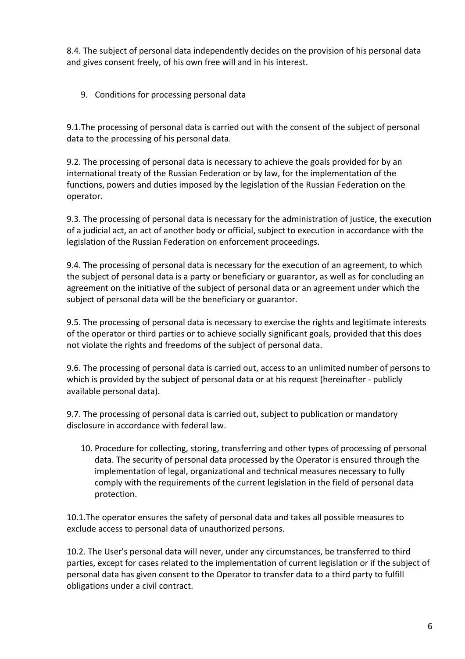8.4. The subject of personal data independently decides on the provision of his personal data and gives consent freely, of his own free will and in his interest.

9. Conditions for processing personal data

9.1.The processing of personal data is carried out with the consent of the subject of personal data to the processing of his personal data.

9.2. The processing of personal data is necessary to achieve the goals provided for by an international treaty of the Russian Federation or by law, for the implementation of the functions, powers and duties imposed by the legislation of the Russian Federation on the operator.

9.3. The processing of personal data is necessary for the administration of justice, the execution of a judicial act, an act of another body or official, subject to execution in accordance with the legislation of the Russian Federation on enforcement proceedings.

9.4. The processing of personal data is necessary for the execution of an agreement, to which the subject of personal data is a party or beneficiary or guarantor, as well as for concluding an agreement on the initiative of the subject of personal data or an agreement under which the subject of personal data will be the beneficiary or guarantor.

9.5. The processing of personal data is necessary to exercise the rights and legitimate interests of the operator or third parties or to achieve socially significant goals, provided that this does not violate the rights and freedoms of the subject of personal data.

9.6. The processing of personal data is carried out, access to an unlimited number of persons to which is provided by the subject of personal data or at his request (hereinafter - publicly available personal data).

9.7. The processing of personal data is carried out, subject to publication or mandatory disclosure in accordance with federal law.

10. Procedure for collecting, storing, transferring and other types of processing of personal data. The security of personal data processed by the Operator is ensured through the implementation of legal, organizational and technical measures necessary to fully comply with the requirements of the current legislation in the field of personal data protection.

10.1.The operator ensures the safety of personal data and takes all possible measures to exclude access to personal data of unauthorized persons.

10.2. The User's personal data will never, under any circumstances, be transferred to third parties, except for cases related to the implementation of current legislation or if the subject of personal data has given consent to the Operator to transfer data to a third party to fulfill obligations under a civil contract.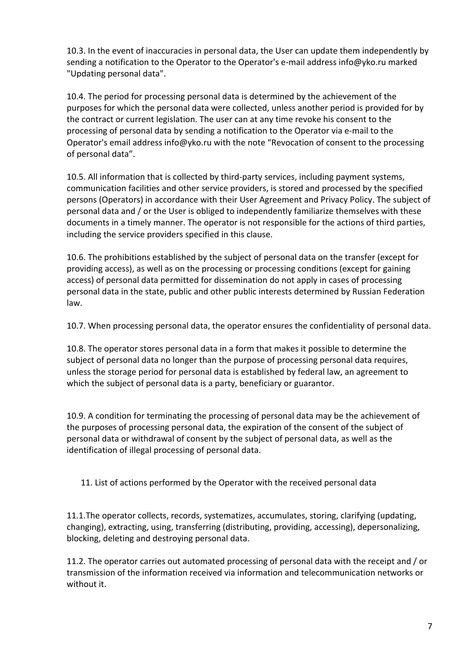10.3. In the event of inaccuracies in personal data, the User can update them independently by sending a notification to the Operator to the Operator's e-mail address info@yko.ru marked "Updating personal data".

10.4. The period for processing personal data is determined by the achievement of the purposes for which the personal data were collected, unless another period is provided for by the contract or current legislation. The user can at any time revoke his consent to the processing of personal data by sending a notification to the Operator via e-mail to the Operator's email address info@yko.ru with the note "Revocation of consent to the processing of personal data".

10.5. All information that is collected by third-party services, including payment systems, communication facilities and other service providers, is stored and processed by the specified persons (Operators) in accordance with their User Agreement and Privacy Policy. The subject of personal data and / or the User is obliged to independently familiarize themselves with these documents in a timely manner. The operator is not responsible for the actions of third parties, including the service providers specified in this clause.

10.6. The prohibitions established by the subject of personal data on the transfer (except for providing access), as well as on the processing or processing conditions (except for gaining access) of personal data permitted for dissemination do not apply in cases of processing personal data in the state, public and other public interests determined by Russian Federation law.

10.7. When processing personal data, the operator ensures the confidentiality of personal data.

10.8. The operator stores personal data in a form that makes it possible to determine the subject of personal data no longer than the purpose of processing personal data requires, unless the storage period for personal data is established by federal law, an agreement to which the subject of personal data is a party, beneficiary or guarantor.

10.9. A condition for terminating the processing of personal data may be the achievement of the purposes of processing personal data, the expiration of the consent of the subject of personal data or withdrawal of consent by the subject of personal data, as well as the identification of illegal processing of personal data.

11. List of actions performed by the Operator with the received personal data

11.1.The operator collects, records, systematizes, accumulates, storing, clarifying (updating, changing), extracting, using, transferring (distributing, providing, accessing), depersonalizing, blocking, deleting and destroying personal data.

11.2. The operator carries out automated processing of personal data with the receipt and / or transmission of the information received via information and telecommunication networks or without it.